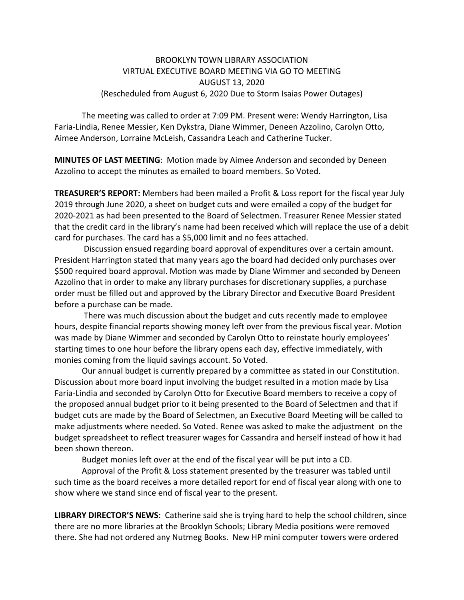## BROOKLYN TOWN LIBRARY ASSOCIATION VIRTUAL EXECUTIVE BOARD MEETING VIA GO TO MEETING AUGUST 13, 2020 (Rescheduled from August 6, 2020 Due to Storm Isaias Power Outages)

The meeting was called to order at 7:09 PM. Present were: Wendy Harrington, Lisa Faria‐Lindia, Renee Messier, Ken Dykstra, Diane Wimmer, Deneen Azzolino, Carolyn Otto, Aimee Anderson, Lorraine McLeish, Cassandra Leach and Catherine Tucker.

**MINUTES OF LAST MEETING**: Motion made by Aimee Anderson and seconded by Deneen Azzolino to accept the minutes as emailed to board members. So Voted.

**TREASURER'S REPORT:** Members had been mailed a Profit & Loss report for the fiscal year July 2019 through June 2020, a sheet on budget cuts and were emailed a copy of the budget for 2020‐2021 as had been presented to the Board of Selectmen. Treasurer Renee Messier stated that the credit card in the library's name had been received which will replace the use of a debit card for purchases. The card has a \$5,000 limit and no fees attached.

Discussion ensued regarding board approval of expenditures over a certain amount. President Harrington stated that many years ago the board had decided only purchases over \$500 required board approval. Motion was made by Diane Wimmer and seconded by Deneen Azzolino that in order to make any library purchases for discretionary supplies, a purchase order must be filled out and approved by the Library Director and Executive Board President before a purchase can be made.

There was much discussion about the budget and cuts recently made to employee hours, despite financial reports showing money left over from the previous fiscal year. Motion was made by Diane Wimmer and seconded by Carolyn Otto to reinstate hourly employees' starting times to one hour before the library opens each day, effective immediately, with monies coming from the liquid savings account. So Voted.

Our annual budget is currently prepared by a committee as stated in our Constitution. Discussion about more board input involving the budget resulted in a motion made by Lisa Faria‐Lindia and seconded by Carolyn Otto for Executive Board members to receive a copy of the proposed annual budget prior to it being presented to the Board of Selectmen and that if budget cuts are made by the Board of Selectmen, an Executive Board Meeting will be called to make adjustments where needed. So Voted. Renee was asked to make the adjustment on the budget spreadsheet to reflect treasurer wages for Cassandra and herself instead of how it had been shown thereon.

Budget monies left over at the end of the fiscal year will be put into a CD.

Approval of the Profit & Loss statement presented by the treasurer was tabled until such time as the board receives a more detailed report for end of fiscal year along with one to show where we stand since end of fiscal year to the present.

**LIBRARY DIRECTOR'S NEWS**: Catherine said she is trying hard to help the school children, since there are no more libraries at the Brooklyn Schools; Library Media positions were removed there. She had not ordered any Nutmeg Books. New HP mini computer towers were ordered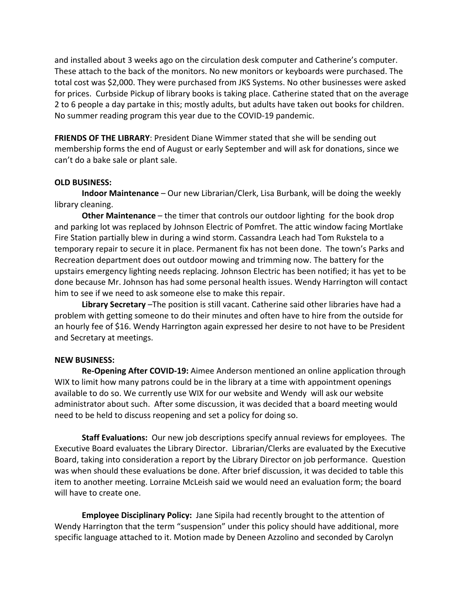and installed about 3 weeks ago on the circulation desk computer and Catherine's computer. These attach to the back of the monitors. No new monitors or keyboards were purchased. The total cost was \$2,000. They were purchased from JKS Systems. No other businesses were asked for prices. Curbside Pickup of library books is taking place. Catherine stated that on the average 2 to 6 people a day partake in this; mostly adults, but adults have taken out books for children. No summer reading program this year due to the COVID‐19 pandemic.

**FRIENDS OF THE LIBRARY**: President Diane Wimmer stated that she will be sending out membership forms the end of August or early September and will ask for donations, since we can't do a bake sale or plant sale.

## **OLD BUSINESS:**

**Indoor Maintenance** – Our new Librarian/Clerk, Lisa Burbank, will be doing the weekly library cleaning.

**Other Maintenance** – the timer that controls our outdoor lighting for the book drop and parking lot was replaced by Johnson Electric of Pomfret. The attic window facing Mortlake Fire Station partially blew in during a wind storm. Cassandra Leach had Tom Rukstela to a temporary repair to secure it in place. Permanent fix has not been done. The town's Parks and Recreation department does out outdoor mowing and trimming now. The battery for the upstairs emergency lighting needs replacing. Johnson Electric has been notified; it has yet to be done because Mr. Johnson has had some personal health issues. Wendy Harrington will contact him to see if we need to ask someone else to make this repair.

**Library Secretary** –The position is still vacant. Catherine said other libraries have had a problem with getting someone to do their minutes and often have to hire from the outside for an hourly fee of \$16. Wendy Harrington again expressed her desire to not have to be President and Secretary at meetings.

## **NEW BUSINESS:**

**Re‐Opening After COVID‐19:** Aimee Anderson mentioned an online application through WIX to limit how many patrons could be in the library at a time with appointment openings available to do so. We currently use WIX for our website and Wendy will ask our website administrator about such. After some discussion, it was decided that a board meeting would need to be held to discuss reopening and set a policy for doing so.

**Staff Evaluations:** Our new job descriptions specify annual reviews for employees. The Executive Board evaluates the Library Director. Librarian/Clerks are evaluated by the Executive Board, taking into consideration a report by the Library Director on job performance. Question was when should these evaluations be done. After brief discussion, it was decided to table this item to another meeting. Lorraine McLeish said we would need an evaluation form; the board will have to create one.

**Employee Disciplinary Policy:** Jane Sipila had recently brought to the attention of Wendy Harrington that the term "suspension" under this policy should have additional, more specific language attached to it. Motion made by Deneen Azzolino and seconded by Carolyn